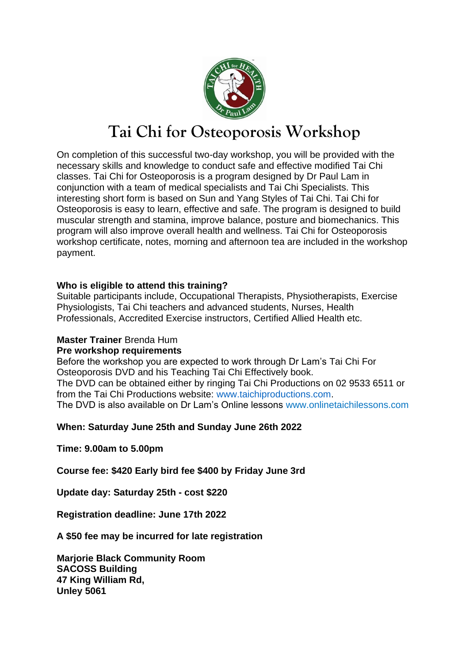

# **Tai Chi for Osteoporosis Workshop**

On completion of this successful two-day workshop, you will be provided with the necessary skills and knowledge to conduct safe and effective modified Tai Chi classes. Tai Chi for Osteoporosis is a program designed by Dr Paul Lam in conjunction with a team of medical specialists and Tai Chi Specialists. This interesting short form is based on Sun and Yang Styles of Tai Chi. Tai Chi for Osteoporosis is easy to learn, effective and safe. The program is designed to build muscular strength and stamina, improve balance, posture and biomechanics. This program will also improve overall health and wellness. Tai Chi for Osteoporosis workshop certificate, notes, morning and afternoon tea are included in the workshop payment.

### **Who is eligible to attend this training?**

Suitable participants include, Occupational Therapists, Physiotherapists, Exercise Physiologists, Tai Chi teachers and advanced students, Nurses, Health Professionals, Accredited Exercise instructors, Certified Allied Health etc.

#### **Master Trainer** Brenda Hum

#### **Pre workshop requirements**

Before the workshop you are expected to work through Dr Lam's Tai Chi For Osteoporosis DVD and his Teaching Tai Chi Effectively book. The DVD can be obtained either by ringing Tai Chi Productions on 02 9533 6511 or from the Tai Chi Productions website: www.taichiproductions.com. The DVD is also available on Dr Lam's Online lessons www.onlinetaichilessons.com

## **When: Saturday June 25th and Sunday June 26th 2022**

**Time: 9.00am to 5.00pm**

**Course fee: \$420 Early bird fee \$400 by Friday June 3rd**

**Update day: Saturday 25th - cost \$220**

**Registration deadline: June 17th 2022**

**A \$50 fee may be incurred for late registration**

**Marjorie Black Community Room SACOSS Building 47 King William Rd, Unley 5061**